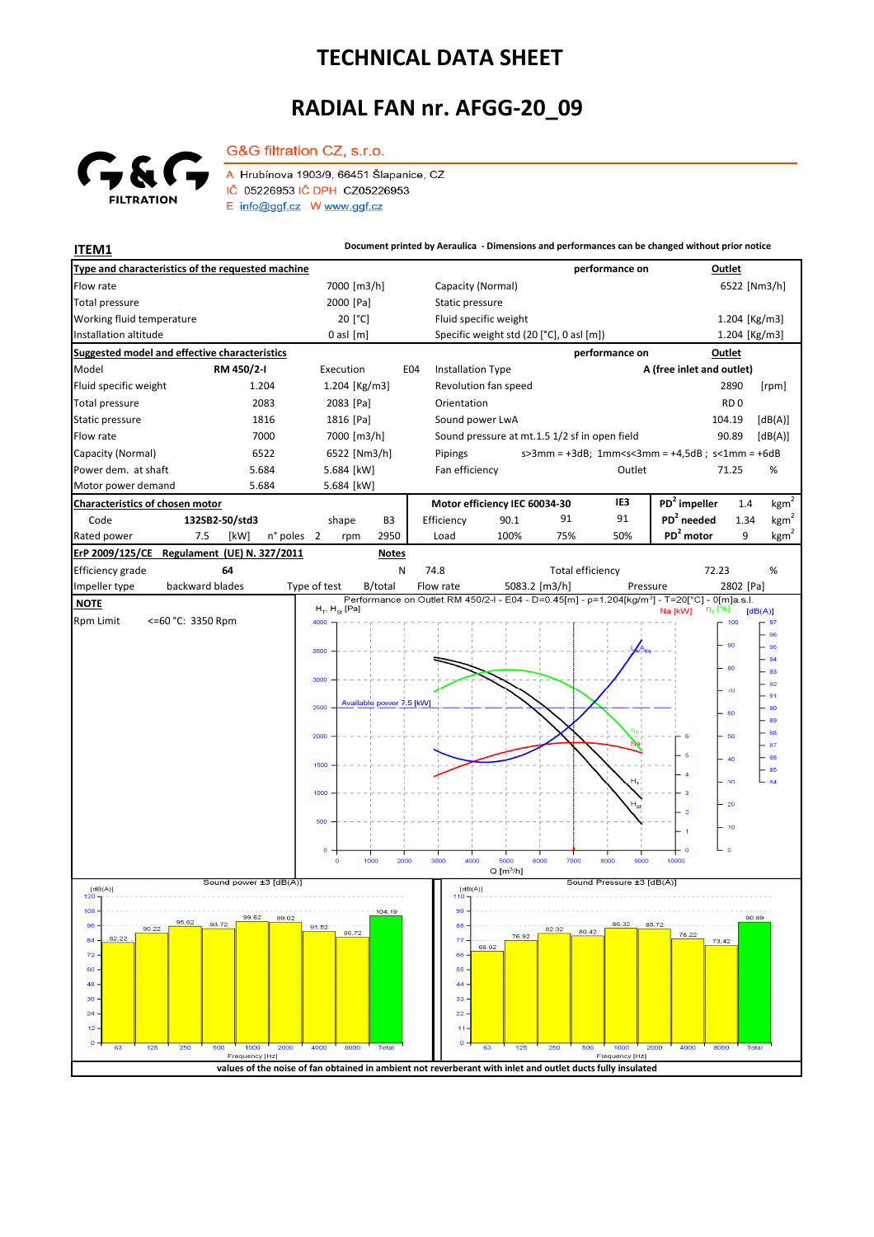## **TECHNICAL DATA SHEET**

## **RADIAL FAN nr. AFGG-20\_09**



G&G filtration CZ, s.r.o.

A Hrubínova 1903/9, 66451 Šlapanice, CZ IČ 05226953 IČ DPH CZ05226953  $E$  info@ggf.cz W www.ggf.cz

**ITEM1 Document printed by Aeraulica** - Dimensions and performances can be changed without prior notice **Type and characteristics of the requested machine performance on Outlet** Flow rate 1982 to the Review of The Capacity (Normal) 6522 [Nm3/h] 6522 [Nm3/h] 6522 [Nm3/h] 2000 [Pa] Static pressure Total pressure Working fluid temperature [°C] Fluid specific weight 1.204 [Kg/m3] Installation altitude 0 asl [m] Specific weight std (20 [°C], 0 asl [m]) Specific weight std (20 [°C], 0 asl [m]) 1.204 [Kg/m3] **Suggested model and effective characteristics performance on Outlet** Model **RM 450/2-I** Execution E04 Installation Type **A (free inlet and outlet)** Fluid specific weight 1.204 1.204 [Kg/m3] Revolution fan speed 2890 [rpm] Total pressure 2083 2083 [Pa] Orientation **RD** 0 Static pressure 1816 1816 [Pa] Sound power LwA 104.19 [dB(A)] Flow rate **7000** 7000 7000 [m3/h] Sound pressure at mt.1.5 1/2 sf in open field 90.89 [dB(A)] Capacity (Normal) 6522 6522 [Nm3/h] s>3mm = +3dB; 1mm<s<3mm = +4,5dB ; s<1mm = +6dB Pipings Power dem. at shaft 5.684 5.684 Fan efficiency Cutlet 71.25 % 71.25 Motor power demand 5.684 5.684 [kW] **Characteristics of chosen motor Motor efficiency IEC 60034-30 IE3 PD<sup>2</sup> impeller** 1.4  $kgm<sup>2</sup>$ Code **132SB2-50/std3 PD<sup>2</sup> needed** 1.34 shape B3 Efficiency 90.1 91 91 kgm n° poles 2 rpm 2950 Load 100% 75% 50% **PD<sup>2</sup> motor** 9 kgm<sup>2</sup> Rated power 7.5 [kW] 2 2950 Load 100% 75% 50% **PD<sup>2</sup> ErP 2009/125/CE Regulament (UE) N. 327/2011 Notes** 72.23 Efficiency grade **64** N 74.8 Total efficiency 72.23 % backward blades Impeller type backward blades Type of test B/total Flow rate 5083.2 [m3/h] Pressure 2802 [Pa]  **NOTE**  $H_{\pi}$ ,  $H_{\infty}$  [Pa] Na [kW]  $[dB(A)]$ Rpm Limit <=60 °C: 3350 Rpm 4000 100 96 95 9f 250) 94 80 93 300C  $\overline{92}$  $\lambda$  $91$ Available power 7.5 [kW] 2500 90 .<br>er 89  $-$ 88 2000 60  $\perp$  87  $\mathsf{F}^{\mathsf{ss}}_{\mathsf{ss}}$ 1500  $\begin{array}{r} 66 \ \hline 66 \ \hline 84 \end{array}$  $\overline{30}$  $\overline{20}$  $\overline{16}$  $1000$  $2000$  $300<sup>c</sup>$  $4000$ .<br>6000  $8000$  $Q[m^3/h]$ ا<br>[dB(A)] Sound power ±3 Sound Pressure ±3 [dB(A)]  $[dB(A)]$ <br>120 T  $[dB(A)]$  $108$  $104:19$ 99.02 an sa 95.62 88  $96$ 93.72 90.22 82.33 86.72 76.92 78.22  $\overline{77}$  $\overline{8}$ 82.22 73.42 68.92  $\overline{z}$ 66  $60$ 55  $\overline{AB}$  $44$  $36$ 33  $\overline{2}$  $\overline{22}$  $\overline{1}$  $\mathbf{A}$  $\overline{a}$ Fred y [Hz y [Hz] **values of the noise of fan obtained in ambient not reverberant with inlet and outlet ducts fully insulated**